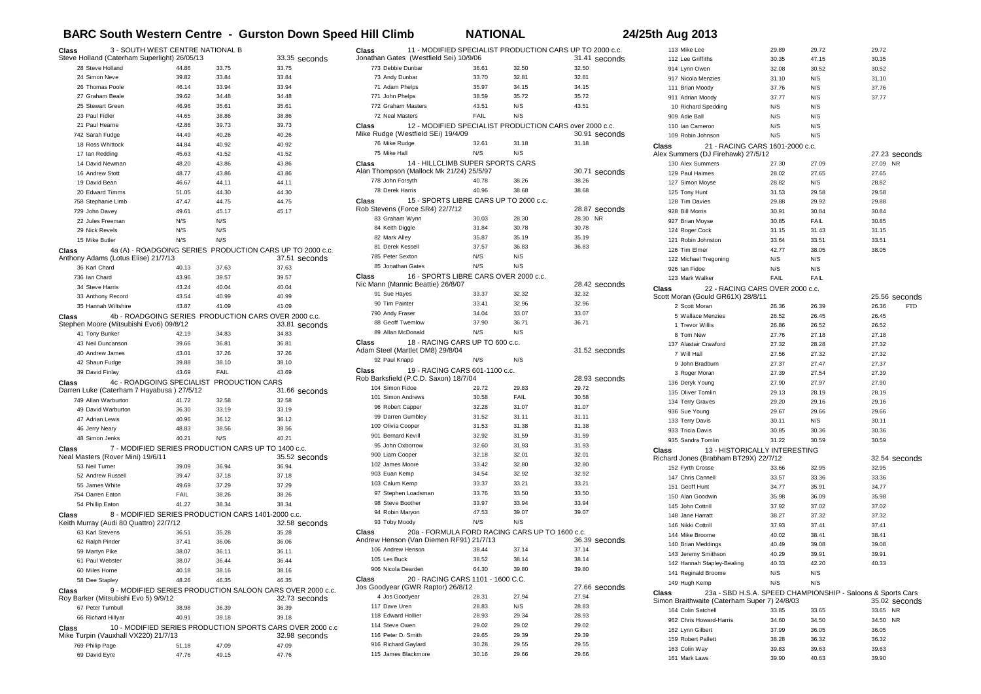## **BARC South Western Centre - Gurston Down Speed Hill Climb NATIONAL 24/25th Aug 2013**

| 3 - SOUTH WEST CENTRE NATIONAL B<br>Class       |       |       |                                                           | Class                                    |                                                |       | 11 - MODIFIED SPECIALIST PRODUCTION CARS UP TO 2000 c.c. | 113 Mike Lee                                   | 29.89                           | 29.72 | 29.72                                                       |
|-------------------------------------------------|-------|-------|-----------------------------------------------------------|------------------------------------------|------------------------------------------------|-------|----------------------------------------------------------|------------------------------------------------|---------------------------------|-------|-------------------------------------------------------------|
| Steve Holland (Caterham Superlight) 26/05/13    |       |       | 33.35 seconds                                             | Jonathan Gates (Westfield Sei) 10/9/06   |                                                |       | 31.41 seconds                                            | 112 Lee Griffiths                              | 30.35                           | 47.15 | 30.35                                                       |
| 28 Steve Holland                                | 44.86 | 33.75 | 33.75                                                     | 773 Debbie Dunbar                        | 36.61                                          | 32.50 | 32.50                                                    | 914 Lynn Owen                                  | 32.08                           | 30.52 | 30.52                                                       |
| 24 Simon Neve                                   | 39.82 | 33.84 | 33.84                                                     | 73 Andy Dunbar                           | 33.70                                          | 32.81 | 32.81                                                    | 917 Nicola Menzies                             | 31.10                           | N/S   | 31.10                                                       |
| 26 Thomas Poole                                 | 46.14 | 33.94 | 33.94                                                     | 71 Adam Phelps                           | 35.97                                          | 34.15 | 34.15                                                    | 111 Brian Moody                                | 37.76                           | N/S   | 37.76                                                       |
| 27 Graham Beale                                 | 39.62 | 34.48 | 34.48                                                     | 771 John Phelps                          | 38.59                                          | 35.72 | 35.72                                                    | 911 Adrian Moody                               | 37.77                           | N/S   | 37.77                                                       |
| 25 Stewart Green                                | 46.96 | 35.61 | 35.61                                                     | 772 Graham Masters                       | 43.51                                          | N/S   | 43.51                                                    | 10 Richard Spedding                            | N/S                             | N/S   |                                                             |
| 23 Paul Fidler                                  | 44.65 | 38.86 | 38.86                                                     | 72 Neal Masters                          | FAIL                                           | N/S   |                                                          | 909 Adie Ball                                  | N/S                             | N/S   |                                                             |
| 21 Paul Hearne                                  | 42.86 | 39.73 | 39.73                                                     | Class                                    |                                                |       | 12 - MODIFIED SPECIALIST PRODUCTION CARS over 2000 c.c.  | 110 Ian Cameron                                | N/S                             | N/S   |                                                             |
| 742 Sarah Fudge                                 | 44.49 | 40.26 | 40.26                                                     | Mike Rudge (Westfield SEi) 19/4/09       |                                                |       | 30.91 seconds                                            | 109 Robin Johnson                              | N/S                             | N/S   |                                                             |
| 18 Ross Whittock                                | 44.84 | 40.92 | 40.92                                                     | 76 Mike Rudge                            | 32.61                                          | 31.18 | 31.18                                                    | <b>Class</b>                                   | 21 - RACING CARS 1601-2000 c.c. |       |                                                             |
| 17 Ian Redding                                  | 45.63 | 41.52 | 41.52                                                     | 75 Mike Hall                             | N/S                                            | N/S   |                                                          | Alex Summers (DJ Firehawk) 27/5/12             |                                 |       | 27.23 seconds                                               |
| 14 David Newman                                 | 48.20 | 43.86 | 43.86                                                     | Class                                    | 14 - HILLCLIMB SUPER SPORTS CARS               |       |                                                          | 130 Alex Summers                               | 27.30                           | 27.09 | 27.09 NR                                                    |
| 16 Andrew Stott                                 | 48.77 | 43.86 | 43.86                                                     | Alan Thompson (Mallock Mk 21/24) 25/5/97 |                                                |       | 30.71 seconds                                            | 129 Paul Haimes                                | 28.02                           | 27.65 | 27.65                                                       |
| 19 David Bean                                   | 46.67 | 44.11 | 44.11                                                     | 778 John Forsyth                         | 40.78                                          | 38.26 | 38.26                                                    | 127 Simon Moyse                                | 28.82                           | N/S   | 28.82                                                       |
| 20 Edward Timms                                 | 51.05 | 44.30 | 44.30                                                     | 78 Derek Harris                          | 40.96                                          | 38.68 | 38.68                                                    | 125 Tony Hunt                                  | 31.53                           | 29.58 | 29.58                                                       |
| 758 Stephanie Limb                              | 47.47 | 44.75 | 44.75                                                     | Class                                    | 15 - SPORTS LIBRE CARS UP TO 2000 c.c.         |       |                                                          | 128 Tim Davies                                 | 29.88                           | 29.92 | 29.88                                                       |
| 729 John Davey                                  | 49.61 | 45.17 | 45.17                                                     | Rob Stevens (Force SR4) 22/7/12          |                                                |       | 28.87 seconds                                            | 928 Bill Morris                                | 30.91                           | 30.84 | 30.84                                                       |
| 22 Jules Freeman                                | N/S   | N/S   |                                                           | 83 Graham Wynn                           | 30.03                                          | 28.30 | 28.30 NR                                                 | 927 Brian Moyse                                | 30.85                           | FAIL  | 30.85                                                       |
| 29 Nick Revels                                  | N/S   | N/S   |                                                           | 84 Keith Diggle                          | 31.84                                          | 30.78 | 30.78                                                    | 124 Roger Cock                                 | 31.15                           | 31.43 | 31.15                                                       |
| 15 Mike Butler                                  | N/S   | N/S   |                                                           | 82 Mark Alley                            | 35.87                                          | 35.19 | 35.19                                                    | 121 Robin Johnston                             | 33.64                           | 33.51 | 33.51                                                       |
| 4a (A) - ROADGOING SERIES<br>Class              |       |       | PRODUCTION CARS UP TO 2000 c.c.                           | 81 Derek Kessell                         | 37.57                                          | 36.83 | 36.83                                                    | 126 Tim Elmer                                  | 42.77                           | 38.05 | 38.05                                                       |
| Anthony Adams (Lotus Elise) 21/7/13             |       |       | 37.51 seconds                                             | 785 Peter Sexton                         | N/S                                            | N/S   |                                                          | 122 Michael Tregoning                          | N/S                             | N/S   |                                                             |
| 36 Karl Chard                                   | 40.13 | 37.63 | 37.63                                                     | 85 Jonathan Gates                        | N/S                                            | N/S   |                                                          | 926 Ian Fidoe                                  | N/S                             | N/S   |                                                             |
| 736 Ian Chard                                   | 43.96 | 39.57 | 39.57                                                     | Class                                    | 16 - SPORTS LIBRE CARS OVER 2000 c.c.          |       |                                                          | 123 Mark Walker                                | <b>FAIL</b>                     | FAIL  |                                                             |
| 34 Steve Harris                                 | 43.24 | 40.04 | 40.04                                                     | Nic Mann (Mannic Beattie) 26/8/07        |                                                |       | 28.42 seconds                                            | <b>Class</b>                                   | 22 - RACING CARS OVER 2000 c.c. |       |                                                             |
| 33 Anthony Record                               | 43.54 | 40.99 | 40.99                                                     | 91 Sue Hayes                             | 33.37                                          | 32.32 | 32.32                                                    | Scott Moran (Gould GR61X) 28/8/11              |                                 |       | 25.56 seconds                                               |
| 35 Hannah Wiltshire                             | 43.87 | 41.09 | 41.09                                                     | 90 Tim Painter                           | 33.41                                          | 32.96 | 32.96                                                    | 2 Scott Moran                                  | 26.36                           | 26.39 | 26.36<br><b>FTD</b>                                         |
| Class                                           |       |       | 4b - ROADGOING SERIES PRODUCTION CARS OVER 2000 c.c.      | 790 Andy Fraser                          | 34.04                                          | 33.07 | 33.07                                                    | 5 Wallace Menzies                              | 26.52                           | 26.45 | 26.45                                                       |
| Stephen Moore (Mitsubishi Evo6) 09/8/12         |       |       | 33.81 seconds                                             | 88 Geoff Twemlow                         | 37.90                                          | 36.71 | 36.71                                                    | 1 Trevor Willis                                | 26.86                           | 26.52 | 26.52                                                       |
| 41 Tony Bunker                                  | 42.19 | 34.83 | 34.83                                                     | 89 Allan McDonald                        | N/S                                            | N/S   |                                                          | 8 Tom New                                      | 27.76                           | 27.18 | 27.18                                                       |
| 43 Neil Duncanson                               | 39.66 | 36.81 | 36.81                                                     | Class                                    | 18 - RACING CARS UP TO 600 c.c.                |       |                                                          | 137 Alastair Crawford                          | 27.32                           | 28.28 | 27.32                                                       |
| 40 Andrew James                                 | 43.01 | 37.26 | 37.26                                                     | Adam Steel (Martlet DM8) 29/8/04         |                                                |       | 31.52 seconds                                            | 7 Will Hall                                    | 27.56                           | 27.32 | 27.32                                                       |
| 42 Shaun Fudge                                  | 39.88 | 38.10 | 38.10                                                     | 92 Paul Knapp                            | N/S                                            | N/S   |                                                          | 9 John Bradburn                                | 27.37                           | 27.47 | 27.37                                                       |
| 39 David Finlay                                 | 43.69 | FAIL  | 43.69                                                     | Class                                    | 19 - RACING CARS 601-1100 c.c.                 |       |                                                          | 3 Roger Moran                                  | 27.39                           | 27.54 | 27.39                                                       |
| 4c - ROADGOING SPECIALIST<br>Class              |       |       | PRODUCTION CARS                                           | Rob Barksfield (P.C.D. Saxon) 18/7/04    |                                                |       | 28.93 seconds                                            | 136 Deryk Young                                | 27.90                           | 27.97 | 27.90                                                       |
| Darren Luke (Caterham 7 Hayabusa) 27/5/12       |       |       | 31.66 seconds                                             | 104 Simon Fidoe                          | 29.72                                          | 29.83 | 29.72                                                    | 135 Oliver Tomlin                              | 29.13                           | 28.19 | 28.19                                                       |
| 749 Allan Warburton                             | 41.72 | 32.58 | 32.58                                                     | 101 Simon Andrews                        | 30.58                                          | FAIL  | 30.58                                                    | 134 Terry Graves                               | 29.20                           | 29.16 | 29.16                                                       |
| 49 David Warburton                              | 36.30 | 33.19 | 33.19                                                     | 96 Robert Capper                         | 32.28                                          | 31.07 | 31.07                                                    | 936 Sue Young                                  | 29.67                           | 29.66 | 29.66                                                       |
| 47 Adrian Lewis                                 | 40.96 | 36.12 | 36.12                                                     | 99 Darren Gumbley                        | 31.52                                          | 31.11 | 31.11                                                    | 133 Terry Davis                                | 30.11                           | N/S   | 30.11                                                       |
| 46 Jerry Neary                                  | 48.83 | 38.56 | 38.56                                                     | 100 Olivia Cooper                        | 31.53                                          | 31.38 | 31.38                                                    | 933 Tricia Davis                               | 30.85                           | 30.36 | 30.36                                                       |
| 48 Simon Jenks                                  | 40.21 | N/S   | 40.21                                                     | 901 Bernard Kevill                       | 32.92                                          | 31.59 | 31.59                                                    | 935 Sandra Tomlin                              | 31.22                           | 30.59 | 30.59                                                       |
| Class                                           |       |       | 7 - MODIFIED SERIES PRODUCTION CARS UP TO 1400 c.c.       | 95 John Oxborrow                         | 32.60                                          | 31.93 | 31.93                                                    |                                                |                                 |       |                                                             |
| Neal Masters (Rover Mini) 19/6/11               |       |       | 35.52 seconds                                             | 900 Liam Cooper                          | 32.18                                          | 32.01 | 32.01                                                    | Class<br>Richard Jones (Brabham BT29X) 22/7/12 | 13 - HISTORICALLY INTERESTING   |       | 32.54 seconds                                               |
| 53 Neil Turner                                  | 39.09 | 36.94 | 36.94                                                     | 102 James Moore                          | 33.42                                          | 32.80 | 32.80                                                    | 152 Fyrth Crosse                               | 33.66                           | 32.95 | 32.95                                                       |
| 52 Andrew Russell                               | 39.47 | 37.18 | 37.18                                                     | 903 Euan Kemp                            | 34.54                                          | 32.92 | 32.92                                                    | 147 Chris Cannell                              | 33.57                           | 33.36 | 33.36                                                       |
| 55 James White                                  | 49.69 | 37.29 | 37.29                                                     | 103 Calum Kemp                           | 33.37                                          | 33.21 | 33.21                                                    | 151 Geoff Hunt                                 | 34.77                           | 35.91 | 34.77                                                       |
| 754 Darren Eaton                                | FAIL  | 38.26 | 38.26                                                     | 97 Stephen Loadsman                      | 33.76                                          | 33.50 | 33.50                                                    | 150 Alan Goodwin                               | 35.98                           |       | 35.98                                                       |
| 54 Phillip Eaton                                | 41.27 | 38.34 | 38.34                                                     | 98 Steve Boother                         | 33.97                                          | 33.94 | 33.94                                                    |                                                |                                 | 36.09 |                                                             |
|                                                 |       |       | 8 - MODIFIED SERIES PRODUCTION CARS 1401-2000 c.c.        | 94 Robin Maryon                          | 47.53                                          | 39.07 | 39.07                                                    | 145 John Cottrill                              | 37.92                           | 37.02 | 37.02<br>37.32                                              |
| Class<br>Keith Murray (Audi 80 Quattro) 22/7/12 |       |       | 32.58 seconds                                             | 93 Toby Moody                            | N/S                                            | N/S   |                                                          | 148 Jane Harratt<br>146 Nikki Cottrill         | 38.27                           | 37.32 |                                                             |
| 63 Karl Stevens                                 | 36.51 | 35.28 | 35.28                                                     | Class                                    | 20a - FORMULA FORD RACING CARS UP TO 1600 c.c. |       |                                                          |                                                | 37.93                           | 37.41 | 37.41                                                       |
| 62 Ralph Pinder                                 | 37.41 | 36.06 | 36.06                                                     | Andrew Henson (Van Diemen RF91) 21/7/13  |                                                |       | 36.39 seconds                                            | 144 Mike Broome                                | 40.02                           | 38.41 | 38.41                                                       |
| 59 Martyn Pike                                  | 38.07 | 36.11 | 36.11                                                     | 106 Andrew Henson                        | 38.44                                          | 37.14 | 37.14                                                    | 140 Brian Meddings                             | 40.49                           | 39.08 | 39.08                                                       |
| 61 Paul Webster                                 | 38.07 | 36.44 | 36.44                                                     | 105 Les Buck                             | 38.52                                          | 38.14 | 38.14                                                    | 143 Jeremy Smithson                            | 40.29                           | 39.91 | 39.91                                                       |
| 60 Miles Horne                                  | 40.18 | 38.16 | 38.16                                                     | 906 Nicola Dearden                       | 64.30                                          | 39.80 | 39.80                                                    | 142 Hannah Stapley-Bealing                     | 40.33                           | 42.20 | 40.33                                                       |
| 58 Dee Stapley                                  | 48.26 | 46.35 | 46.35                                                     | Class                                    | 20 - RACING CARS 1101 - 1600 C.C.              |       |                                                          | 141 Reginald Broome                            | N/S                             | N/S   |                                                             |
|                                                 |       |       |                                                           | Jos Goodyear (GWR Raptor) 26/8/12        |                                                |       | 27.66 seconds                                            | 149 Hugh Kemp                                  | N/S                             | N/S   |                                                             |
| Class<br>Roy Barker (Mitsubishi Evo 5) 9/9/12   |       |       | 9 - MODIFIED SERIES PRODUCTION SALOON CARS OVER 2000 c.c. | 4 Jos Goodyear                           | 28.31                                          | 27.94 | 27.94                                                    | <b>Class</b>                                   |                                 |       | 23a - SBD H.S.A. SPEED CHAMPIONSHIP - Saloons & Sports Cars |
|                                                 |       |       | 32.73 seconds                                             | 117 Dave Uren                            | 28.83                                          | N/S   | 28.83                                                    | Simon Braithwaite (Caterham Super 7) 24/8/03   |                                 |       | 35.02 seconds                                               |
| 67 Peter Turnbull<br>66 Richard Hillvar         | 38.98 | 36.39 | 36.39                                                     | 118 Edward Hollier                       | 28.93                                          | 29.34 | 28.93                                                    | 164 Colin Satchell                             | 33.85                           | 33.65 | 33.65 NR                                                    |
|                                                 | 40.91 | 39.18 | 39.18                                                     | 114 Steve Owen                           | 29.02                                          | 29.02 | 29.02                                                    | 962 Chris Howard-Harris                        | 34.60                           | 34.50 | 34.50 NR                                                    |
| Class<br>Mike Turpin (Vauxhall VX220) 21/7/13   |       |       | 10 - MODIFIED SERIES PRODUCTION SPORTS CARS OVER 2000 c.c | 116 Peter D. Smith                       | 29.65                                          | 29.39 | 29.39                                                    | 162 Lynn Gilbert                               | 37.99                           | 36.05 | 36.05                                                       |
| 769 Philip Page                                 | 51.18 | 47.09 | 32.98 seconds<br>47.09                                    | 916 Richard Gaylard                      | 30.28                                          | 29.55 | 29.55                                                    | 159 Robert Pallett                             | 38.28                           | 36.32 | 36.32                                                       |
| 69 David Eyre                                   | 47.76 | 49.15 | 47.76                                                     | 115 James Blackmore                      | 30.16                                          | 29.66 | 29.66                                                    | 163 Colin Way                                  | 39.83                           | 39.63 | 39.63                                                       |
|                                                 |       |       |                                                           |                                          |                                                |       |                                                          | 161 Mark Laws                                  | 39.90                           | 40.63 | 39.90                                                       |